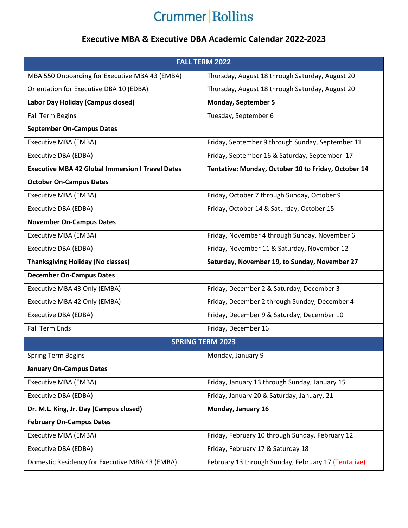## **Crummer Rollins**

## **Executive MBA & Executive DBA Academic Calendar 2022-2023**

| <b>FALL TERM 2022</b>                                   |                                                     |
|---------------------------------------------------------|-----------------------------------------------------|
| MBA 550 Onboarding for Executive MBA 43 (EMBA)          | Thursday, August 18 through Saturday, August 20     |
| Orientation for Executive DBA 10 (EDBA)                 | Thursday, August 18 through Saturday, August 20     |
| Labor Day Holiday (Campus closed)                       | <b>Monday, September 5</b>                          |
| <b>Fall Term Begins</b>                                 | Tuesday, September 6                                |
| <b>September On-Campus Dates</b>                        |                                                     |
| Executive MBA (EMBA)                                    | Friday, September 9 through Sunday, September 11    |
| Executive DBA (EDBA)                                    | Friday, September 16 & Saturday, September 17       |
| <b>Executive MBA 42 Global Immersion I Travel Dates</b> | Tentative: Monday, October 10 to Friday, October 14 |
| <b>October On-Campus Dates</b>                          |                                                     |
| Executive MBA (EMBA)                                    | Friday, October 7 through Sunday, October 9         |
| Executive DBA (EDBA)                                    | Friday, October 14 & Saturday, October 15           |
| <b>November On-Campus Dates</b>                         |                                                     |
| Executive MBA (EMBA)                                    | Friday, November 4 through Sunday, November 6       |
| Executive DBA (EDBA)                                    | Friday, November 11 & Saturday, November 12         |
| <b>Thanksgiving Holiday (No classes)</b>                | Saturday, November 19, to Sunday, November 27       |
| <b>December On-Campus Dates</b>                         |                                                     |
| Executive MBA 43 Only (EMBA)                            | Friday, December 2 & Saturday, December 3           |
| Executive MBA 42 Only (EMBA)                            | Friday, December 2 through Sunday, December 4       |
| Executive DBA (EDBA)                                    | Friday, December 9 & Saturday, December 10          |
| <b>Fall Term Ends</b>                                   | Friday, December 16                                 |
| <b>SPRING TERM 2023</b>                                 |                                                     |
| <b>Spring Term Begins</b>                               | Monday, January 9                                   |
| <b>January On-Campus Dates</b>                          |                                                     |
| Executive MBA (EMBA)                                    | Friday, January 13 through Sunday, January 15       |
| Executive DBA (EDBA)                                    | Friday, January 20 & Saturday, January, 21          |
| Dr. M.L. King, Jr. Day (Campus closed)                  | Monday, January 16                                  |
| <b>February On-Campus Dates</b>                         |                                                     |
| Executive MBA (EMBA)                                    | Friday, February 10 through Sunday, February 12     |
| Executive DBA (EDBA)                                    | Friday, February 17 & Saturday 18                   |
| Domestic Residency for Executive MBA 43 (EMBA)          | February 13 through Sunday, February 17 (Tentative) |